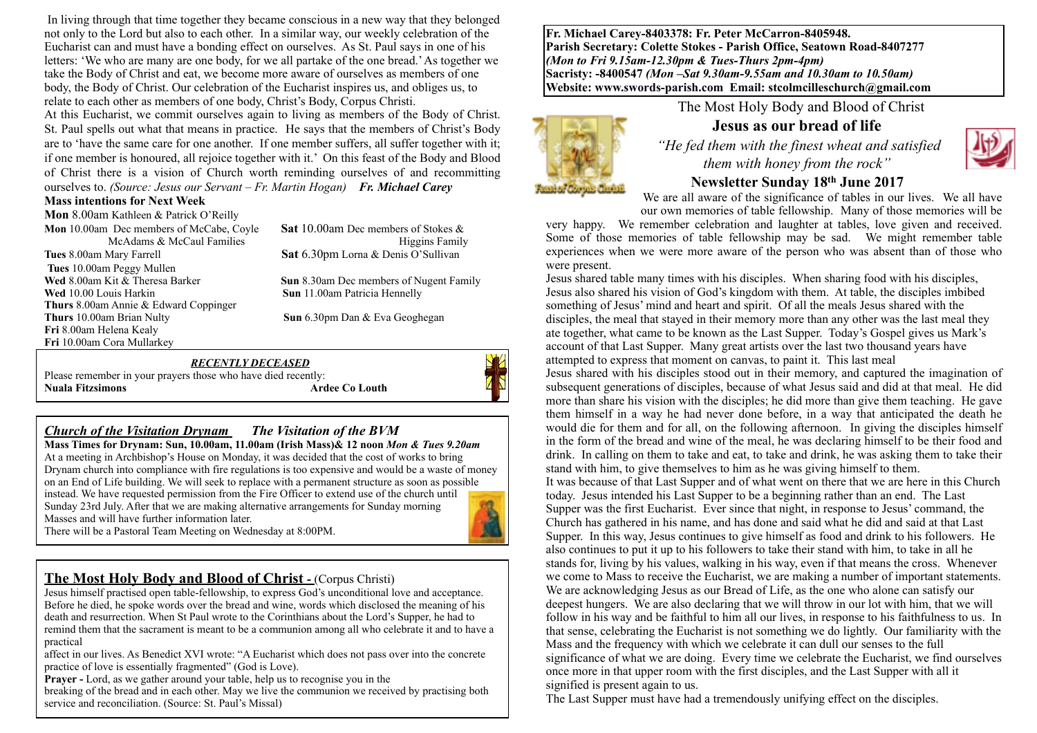In living through that time together they became conscious in a new way that they belonged not only to the Lord but also to each other. In a similar way, our weekly celebration of the Eucharist can and must have a bonding effect on ourselves. As St. Paul says in one of his letters: 'We who are many are one body, for we all partake of the one bread.' As together we take the Body of Christ and eat, we become more aware of ourselves as members of one body, the Body of Christ. Our celebration of the Eucharist inspires us, and obliges us, to relate to each other as members of one body, Christ's Body, Corpus Christi.

At this Eucharist, we commit ourselves again to living as members of the Body of Christ. St. Paul spells out what that means in practice. He says that the members of Christ's Body are to 'have the same care for one another. If one member suffers, all suffer together with it; if one member is honoured, all rejoice together with it.' On this feast of the Body and Blood of Christ there is a vision of Church worth reminding ourselves of and recommitting ourselves to. *(Source: Jesus our Servant – Fr. Martin Hogan) Fr. Michael Carey*

#### **Mass intentions for Next Week**

**Mon** 8.00am Kathleen & Patrick O'Reilly **Mon** 10.00am Dec members of McCabe, Coyle **Sat** 10.00am Dec members of Stokes & **Tues** 8.00am Mary Farrell **Sat** 6.30pm Lorna & Denis O'Sullivan **Tues** 10.00am Peggy Mullen **Wed** 8.00am Kit & Theresa Barker **Sun 8.30am Dec members of Nugent Family Wed** 10.00 Louis Harkin **Sun** 11.00am Patricia Hennelly **Thurs** 8.00am Annie & Edward Coppinger **Thurs** 10.00am Brian Nulty **Sun** 6.30pm Dan & Eva Geoghegan **Fri** 8.00am Helena Kealy **Fri** 10.00am Cora Mullarkey

McAdams & McCaul Families https://www.assett.com/mcAdams & McCaul Families https://www.assett.com/mcAdams Family

#### *RECENTLY DECEASED*

Please remember in your prayers those who have died recently:<br>Nuala Fitzsimons Ardee Co Louth **Nuala Fitzsimons** 



#### *Church of the Visitation Drynam**The Visitation of the BVM*

**Mass Times for Drynam: Sun, 10.00am, 11.00am (Irish Mass)& 12 noon** *Mon & Tues 9.20am*  At a meeting in Archbishop's House on Monday, it was decided that the cost of works to bring Drynam church into compliance with fire regulations is too expensive and would be a waste of money on an End of Life building. We will seek to replace with a permanent structure as soon as possible instead. We have requested permission from the Fire Officer to extend use of the church until Sunday 23rd July. After that we are making alternative arrangements for Sunday morning Masses and will have further information later.



#### **The Most Holy Body and Blood of Christ - (Corpus Christi)**

Jesus himself practised open table-fellowship, to express God's unconditional love and acceptance. Before he died, he spoke words over the bread and wine, words which disclosed the meaning of his death and resurrection. When St Paul wrote to the Corinthians about the Lord's Supper, he had to remind them that the sacrament is meant to be a communion among all who celebrate it and to have a practical

affect in our lives. As Benedict XVI wrote: "A Eucharist which does not pass over into the concrete practice of love is essentially fragmented" (God is Love).

**Prayer** - Lord, as we gather around your table, help us to recognise you in the

breaking of the bread and in each other. May we live the communion we received by practising both service and reconciliation. (Source: St. Paul's Missal)

**Fr. Michael Carey-8403378: Fr. Peter McCarron-8405948. Parish Secretary: Colette Stokes - Parish Office, Seatown Road-8407277**  *(Mon to Fri 9.15am-12.30pm & Tues-Thurs 2pm-4pm)*  **Sacristy: -8400547** *(Mon –Sat 9.30am-9.55am and 10.30am to 10.50am)* **Website: [www.swords-parish.com Email:](http://www.swords-parish.com%20%20email) stcolmcilleschurch@gmail.com**

The Most Holy Body and Blood of Christ

### **Jesus as our bread of life**

 *"He fed them with the finest wheat and satisfied them with honey from the rock"* 



### **Newsletter Sunday 18th June 2017**

We are all aware of the significance of tables in our lives. We all have our own memories of table fellowship. Many of those memories will be

very happy. We remember celebration and laughter at tables, love given and received. Some of those memories of table fellowship may be sad. We might remember table experiences when we were more aware of the person who was absent than of those who were present.

Jesus shared table many times with his disciples. When sharing food with his disciples, Jesus also shared his vision of God's kingdom with them. At table, the disciples imbibed something of Jesus' mind and heart and spirit. Of all the meals Jesus shared with the disciples, the meal that stayed in their memory more than any other was the last meal they ate together, what came to be known as the Last Supper. Today's Gospel gives us Mark's account of that Last Supper. Many great artists over the last two thousand years have attempted to express that moment on canvas, to paint it. This last meal

Jesus shared with his disciples stood out in their memory, and captured the imagination of subsequent generations of disciples, because of what Jesus said and did at that meal. He did more than share his vision with the disciples; he did more than give them teaching. He gave them himself in a way he had never done before, in a way that anticipated the death he would die for them and for all, on the following afternoon. In giving the disciples himself in the form of the bread and wine of the meal, he was declaring himself to be their food and drink. In calling on them to take and eat, to take and drink, he was asking them to take their stand with him, to give themselves to him as he was giving himself to them.

It was because of that Last Supper and of what went on there that we are here in this Church today. Jesus intended his Last Supper to be a beginning rather than an end. The Last Supper was the first Eucharist. Ever since that night, in response to Jesus' command, the Church has gathered in his name, and has done and said what he did and said at that Last Supper. In this way, Jesus continues to give himself as food and drink to his followers. He also continues to put it up to his followers to take their stand with him, to take in all he stands for, living by his values, walking in his way, even if that means the cross. Whenever we come to Mass to receive the Eucharist, we are making a number of important statements. We are acknowledging Jesus as our Bread of Life, as the one who alone can satisfy our deepest hungers. We are also declaring that we will throw in our lot with him, that we will follow in his way and be faithful to him all our lives, in response to his faithfulness to us. In that sense, celebrating the Eucharist is not something we do lightly. Our familiarity with the Mass and the frequency with which we celebrate it can dull our senses to the full significance of what we are doing. Every time we celebrate the Eucharist, we find ourselves once more in that upper room with the first disciples, and the Last Supper with all it signified is present again to us.

The Last Supper must have had a tremendously unifying effect on the disciples.